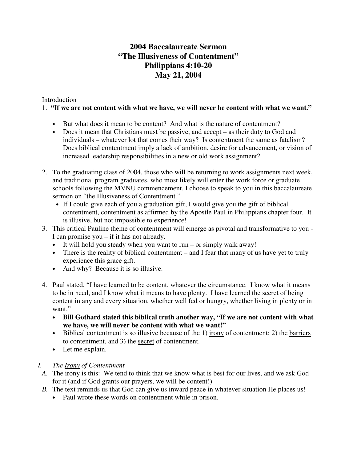# **2004 Baccalaureate Sermon "The Illusiveness of Contentment" Philippians 4:10-20 May 21, 2004**

### Introduction

### 1. **"If we are not content with what we have, we will never be content with what we want."**

- But what does it mean to be content? And what is the nature of contentment?
- Does it mean that Christians must be passive, and accept as their duty to God and individuals – whatever lot that comes their way? Is contentment the same as fatalism? Does biblical contentment imply a lack of ambition, desire for advancement, or vision of increased leadership responsibilities in a new or old work assignment?
- 2. To the graduating class of 2004, those who will be returning to work assignments next week, and traditional program graduates, who most likely will enter the work force or graduate schools following the MVNU commencement, I choose to speak to you in this baccalaureate sermon on "the Illusiveness of Contentment."
	- If I could give each of you a graduation gift, I would give you the gift of biblical contentment, contentment as affirmed by the Apostle Paul in Philippians chapter four. It is illusive, but not impossible to experience!
- 3. This critical Pauline theme of contentment will emerge as pivotal and transformative to you I can promise you – if it has not already.
	- It will hold you steady when you want to run or simply walk away!
	- There is the reality of biblical contentment and I fear that many of us have yet to truly experience this grace gift.
	- And why? Because it is so illusive.
- 4. Paul stated, "I have learned to be content, whatever the circumstance. I know what it means to be in need, and I know what it means to have plenty. I have learned the secret of being content in any and every situation, whether well fed or hungry, whether living in plenty or in want."
	- **Bill Gothard stated this biblical truth another way, "If we are not content with what we have, we will never be content with what we want!"**
	- Biblical contentment is so illusive because of the  $1)$  irony of contentment; 2) the barriers to contentment, and 3) the secret of contentment.
	- Let me explain.

# *I. The Irony of Contentment*

- *A.* The irony is this: We tend to think that we know what is best for our lives, and we ask God for it (and if God grants our prayers, we will be content!)
- *B.* The text reminds us that God can give us inward peace in whatever situation He places us!
	- Paul wrote these words on contentment while in prison.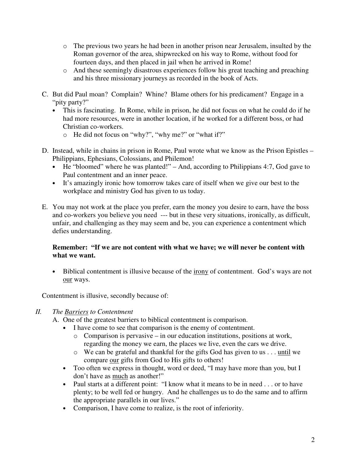- o The previous two years he had been in another prison near Jerusalem, insulted by the Roman governor of the area, shipwrecked on his way to Rome, without food for fourteen days, and then placed in jail when he arrived in Rome!
- o And these seemingly disastrous experiences follow his great teaching and preaching and his three missionary journeys as recorded in the book of Acts.
- C. But did Paul moan? Complain? Whine? Blame others for his predicament? Engage in a "pity party?"
	- This is fascinating. In Rome, while in prison, he did not focus on what he could do if he had more resources, were in another location, if he worked for a different boss, or had Christian co-workers.
		- o He did not focus on "why?", "why me?" or "what if?"
- D. Instead, while in chains in prison in Rome, Paul wrote what we know as the Prison Epistles Philippians, Ephesians, Colossians, and Philemon!
	- He "bloomed" where he was planted!" And, according to Philippians 4:7, God gave to Paul contentment and an inner peace.
	- It's amazingly ironic how tomorrow takes care of itself when we give our best to the workplace and ministry God has given to us today.
- E. You may not work at the place you prefer, earn the money you desire to earn, have the boss and co-workers you believe you need --- but in these very situations, ironically, as difficult, unfair, and challenging as they may seem and be, you can experience a contentment which defies understanding.

### **Remember: "If we are not content with what we have; we will never be content with what we want.**

• Biblical contentment is illusive because of the <u>irony</u> of contentment. God's ways are not our ways.

Contentment is illusive, secondly because of:

# *II. The Barriers to Contentment*

- A. One of the greatest barriers to biblical contentment is comparison.
	- I have come to see that comparison is the enemy of contentment.
		- o Comparison is pervasive in our education institutions, positions at work, regarding the money we earn, the places we live, even the cars we drive.
		- o We can be grateful and thankful for the gifts God has given to us . . . until we compare our gifts from God to His gifts to others!
	- Too often we express in thought, word or deed, "I may have more than you, but I don't have as much as another!"
	- Paul starts at a different point: "I know what it means to be in need . . . or to have plenty; to be well fed or hungry. And he challenges us to do the same and to affirm the appropriate parallels in our lives."
	- Comparison, I have come to realize, is the root of inferiority.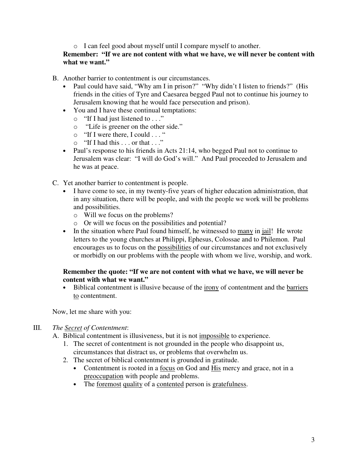o I can feel good about myself until I compare myself to another.

## **Remember: "If we are not content with what we have, we will never be content with what we want."**

- B. Another barrier to contentment is our circumstances.
	- Paul could have said, "Why am I in prison?" "Why didn't I listen to friends?" (His friends in the cities of Tyre and Caesarea begged Paul not to continue his journey to Jerusalem knowing that he would face persecution and prison).
	- You and I have these continual temptations:
		- o "If I had just listened to . . ."
		- o "Life is greener on the other side."
		- o "If I were there, I could . . . "
		- $\circ$  "If I had this . . . or that . . ."
	- Paul's response to his friends in Acts 21:14, who begged Paul not to continue to Jerusalem was clear: "I will do God's will." And Paul proceeded to Jerusalem and he was at peace.
- C. Yet another barrier to contentment is people.
	- I have come to see, in my twenty-five years of higher education administration, that in any situation, there will be people, and with the people we work will be problems and possibilities.
		- o Will we focus on the problems?
		- o Or will we focus on the possibilities and potential?
	- In the situation where Paul found himself, he witnessed to many in jail! He wrote letters to the young churches at Philippi, Ephesus, Colossae and to Philemon. Paul encourages us to focus on the possibilities of our circumstances and not exclusively or morbidly on our problems with the people with whom we live, worship, and work.

#### **Remember the quote: "If we are not content with what we have, we will never be content with what we want."**

• Biblical contentment is illusive because of the irony of contentment and the barriers to contentment.

Now, let me share with you:

#### III. *The Secret of Contentment*:

- A. Biblical contentment is illusiveness, but it is not impossible to experience.
	- 1. The secret of contentment is not grounded in the people who disappoint us, circumstances that distract us, or problems that overwhelm us.
	- 2. The secret of biblical contentment is grounded in gratitude.
		- Contentment is rooted in a focus on God and His mercy and grace, not in a preoccupation with people and problems.
		- The foremost quality of a contented person is gratefulness.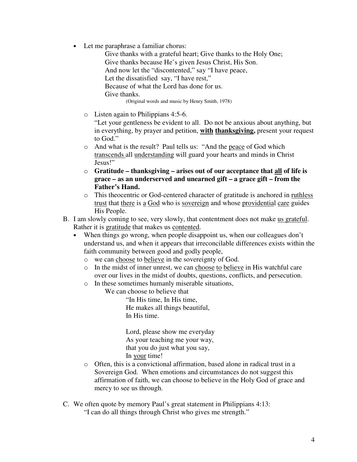• Let me paraphrase a familiar chorus:

Give thanks with a grateful heart; Give thanks to the Holy One; Give thanks because He's given Jesus Christ, His Son. And now let the "discontented," say "I have peace, Let the dissatisfied say, "I have rest," Because of what the Lord has done for us. Give thanks. (Original words and music by Henry Smith, 1978)

o Listen again to Philippians 4:5-6.

"Let your gentleness be evident to all. Do not be anxious about anything, but in everything, by prayer and petition, **with thanksgiving,** present your request to God."

- o And what is the result? Paul tells us: "And the peace of God which transcends all understanding will guard your hearts and minds in Christ Jesus!"
- o **Gratitude – thanksgiving – arises out of our acceptance that all of life is grace – as an underserved and unearned gift – a grace gift – from the Father's Hand.**
- o This theocentric or God-centered character of gratitude is anchored in ruthless trust that there is a God who is sovereign and whose providential care guides His People.
- B. I am slowly coming to see, very slowly, that contentment does not make us grateful. Rather it is gratitude that makes us contented.
	- When things go wrong, when people disappoint us, when our colleagues don't understand us, and when it appears that irreconcilable differences exists within the faith community between good and godly people,
		- o we can choose to believe in the sovereignty of God.
		- o In the midst of inner unrest, we can choose to believe in His watchful care over our lives in the midst of doubts, questions, conflicts, and persecution.
		- o In these sometimes humanly miserable situations,

We can choose to believe that

"In His time, In His time, He makes all things beautiful, In His time.

Lord, please show me everyday As your teaching me your way, that you do just what you say, In your time!

- o Often, this is a convictional affirmation, based alone in radical trust in a Sovereign God. When emotions and circumstances do not suggest this affirmation of faith, we can choose to believe in the Holy God of grace and mercy to see us through.
- C. We often quote by memory Paul's great statement in Philippians 4:13: "I can do all things through Christ who gives me strength."